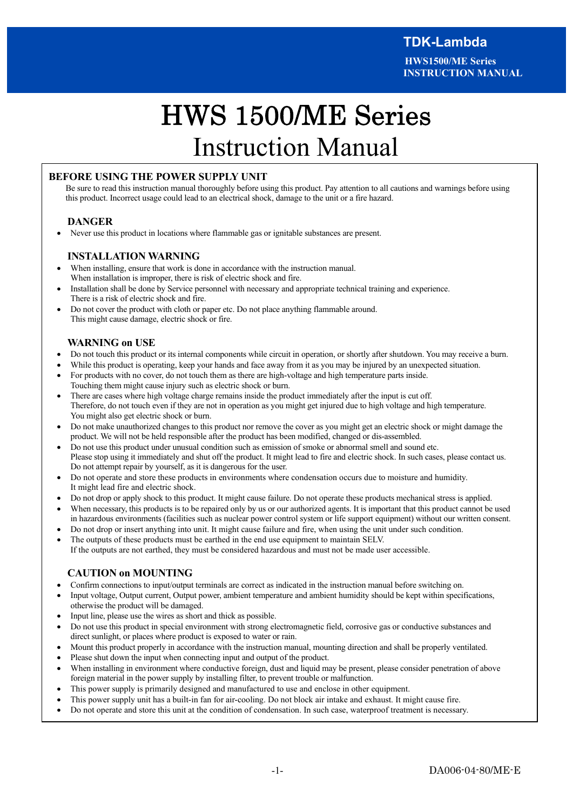**HWS1500/ME Series INSTRUCTION MANUAL**

# . . HWS 1500/ME Series Instruction Manual

## **BEFORE USING THE POWER SUPPLY UNIT**

Be sure to read this instruction manual thoroughly before using this product. Pay attention to all cautions and warnings before using this product. Incorrect usage could lead to an electrical shock, damage to the unit or a fire hazard.

#### **DANGER**

Never use this product in locations where flammable gas or ignitable substances are present.

#### **INSTALLATION WARNING**

- When installing, ensure that work is done in accordance with the instruction manual. When installation is improper, there is risk of electric shock and fire.
- Installation shall be done by Service personnel with necessary and appropriate technical training and experience. There is a risk of electric shock and fire.
- · Do not cover the product with cloth or paper etc. Do not place anything flammable around. This might cause damage, electric shock or fire.

#### **WARNING on USE**

- · Do not touch this product or its internal components while circuit in operation, or shortly after shutdown. You may receive a burn.
- While this product is operating, keep your hands and face away from it as you may be injured by an unexpected situation.
- · For products with no cover, do not touch them as there are high-voltage and high temperature parts inside. Touching them might cause injury such as electric shock or burn.
- · There are cases where high voltage charge remains inside the product immediately after the input is cut off. Therefore, do not touch even if they are not in operation as you might get injured due to high voltage and high temperature. You might also get electric shock or burn.
- · Do not make unauthorized changes to this product nor remove the cover as you might get an electric shock or might damage the product. We will not be held responsible after the product has been modified, changed or dis-assembled.
- · Do not use this product under unusual condition such as emission of smoke or abnormal smell and sound etc. Please stop using it immediately and shut off the product. It might lead to fire and electric shock. In such cases, please contact us. Do not attempt repair by yourself, as it is dangerous for the user.
- · Do not operate and store these products in environments where condensation occurs due to moisture and humidity. It might lead fire and electric shock.
- · Do not drop or apply shock to this product. It might cause failure. Do not operate these products mechanical stress is applied.
- When necessary, this products is to be repaired only by us or our authorized agents. It is important that this product cannot be used in hazardous environments (facilities such as nuclear power control system or life support equipment) without our written consent.
- · Do not drop or insert anything into unit. It might cause failure and fire, when using the unit under such condition.
- · The outputs of these products must be earthed in the end use equipment to maintain SELV. If the outputs are not earthed, they must be considered hazardous and must not be made user accessible.

## **CAUTION on MOUNTING**

- · Confirm connections to input/output terminals are correct as indicated in the instruction manual before switching on.
- Input voltage, Output current, Output power, ambient temperature and ambient humidity should be kept within specifications, otherwise the product will be damaged.
- · Input line, please use the wires as short and thick as possible.
- · Do not use this product in special environment with strong electromagnetic field, corrosive gas or conductive substances and direct sunlight, or places where product is exposed to water or rain.
- · Mount this product properly in accordance with the instruction manual, mounting direction and shall be properly ventilated.
- Please shut down the input when connecting input and output of the product.
- When installing in environment where conductive foreign, dust and liquid may be present, please consider penetration of above foreign material in the power supply by installing filter, to prevent trouble or malfunction.
- This power supply is primarily designed and manufactured to use and enclose in other equipment.
- · This power supply unit has a built-in fan for air-cooling. Do not block air intake and exhaust. It might cause fire.
- · Do not operate and store this unit at the condition of condensation. In such case, waterproof treatment is necessary.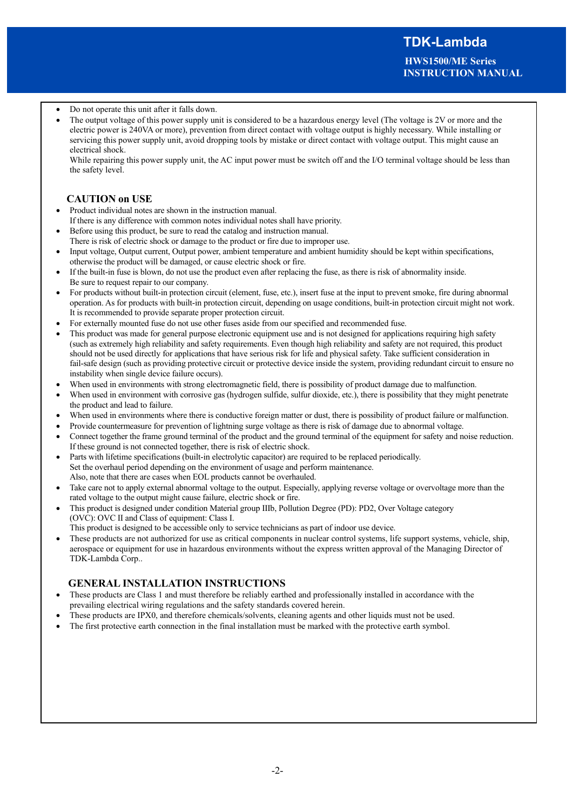**HWS1500/ME Series INSTRUCTION MANUAL**

#### Do not operate this unit after it falls down.

The output voltage of this power supply unit is considered to be a hazardous energy level (The voltage is 2V or more and the electric power is 240VA or more), prevention from direct contact with voltage output is highly necessary. While installing or servicing this power supply unit, avoid dropping tools by mistake or direct contact with voltage output. This might cause an electrical shock.

While repairing this power supply unit, the AC input power must be switch off and the I/O terminal voltage should be less than the safety level.

## **CAUTION on USE**

- Product individual notes are shown in the instruction manual. If there is any difference with common notes individual notes shall have priority.
- Before using this product, be sure to read the catalog and instruction manual. There is risk of electric shock or damage to the product or fire due to improper use.
- Input voltage, Output current, Output power, ambient temperature and ambient humidity should be kept within specifications,
- otherwise the product will be damaged, or cause electric shock or fire.
- If the built-in fuse is blown, do not use the product even after replacing the fuse, as there is risk of abnormality inside. Be sure to request repair to our company.
- For products without built-in protection circuit (element, fuse, etc.), insert fuse at the input to prevent smoke, fire during abnormal operation. As for products with built-in protection circuit, depending on usage conditions, built-in protection circuit might not work. It is recommended to provide separate proper protection circuit.
- · For externally mounted fuse do not use other fuses aside from our specified and recommended fuse.
- This product was made for general purpose electronic equipment use and is not designed for applications requiring high safety (such as extremely high reliability and safety requirements. Even though high reliability and safety are not required, this product should not be used directly for applications that have serious risk for life and physical safety. Take sufficient consideration in fail-safe design (such as providing protective circuit or protective device inside the system, providing redundant circuit to ensure no instability when single device failure occurs).
- When used in environments with strong electromagnetic field, there is possibility of product damage due to malfunction.
- When used in environment with corrosive gas (hydrogen sulfide, sulfur dioxide, etc.), there is possibility that they might penetrate the product and lead to failure.
- When used in environments where there is conductive foreign matter or dust, there is possibility of product failure or malfunction.
- · Provide countermeasure for prevention of lightning surge voltage as there is risk of damage due to abnormal voltage.
- Connect together the frame ground terminal of the product and the ground terminal of the equipment for safety and noise reduction. If these ground is not connected together, there is risk of electric shock.
- Parts with lifetime specifications (built-in electrolytic capacitor) are required to be replaced periodically. Set the overhaul period depending on the environment of usage and perform maintenance. Also, note that there are cases when EOL products cannot be overhauled.
- Take care not to apply external abnormal voltage to the output. Especially, applying reverse voltage or overvoltage more than the rated voltage to the output might cause failure, electric shock or fire.
- This product is designed under condition Material group IIIb, Pollution Degree (PD): PD2, Over Voltage category (OVC): OVC Ⅱ and Class of equipment: Class Ⅰ.
- This product is designed to be accessible only to service technicians as part of indoor use device.
- These products are not authorized for use as critical components in nuclear control systems, life support systems, vehicle, ship, aerospace or equipment for use in hazardous environments without the express written approval of the Managing Director of TDK-Lambda Corp..

## **GENERAL INSTALLATION INSTRUCTIONS**

- · These products are Class 1 and must therefore be reliably earthed and professionally installed in accordance with the prevailing electrical wiring regulations and the safety standards covered herein.
- These products are IPX0, and therefore chemicals/solvents, cleaning agents and other liquids must not be used.
- The first protective earth connection in the final installation must be marked with the protective earth symbol.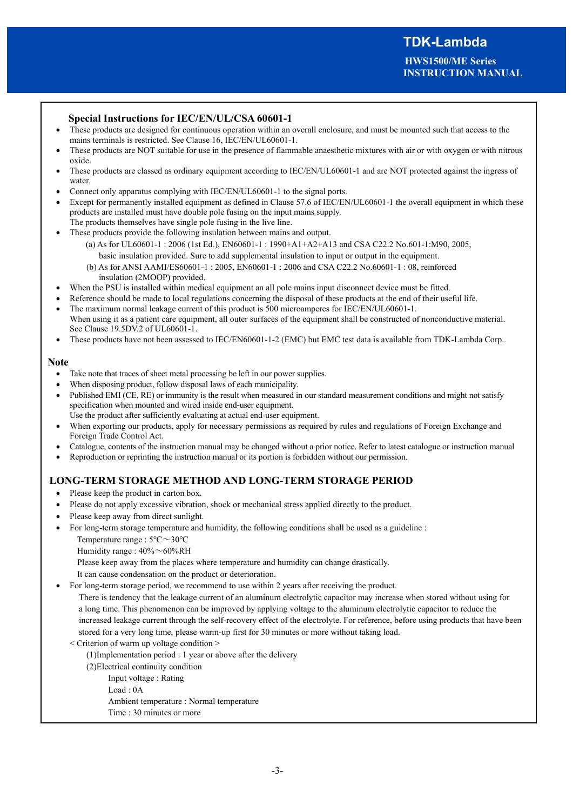## **Special Instructions for IEC/EN/UL/CSA 60601-1**

- These products are designed for continuous operation within an overall enclosure, and must be mounted such that access to the mains terminals is restricted. See Clause 16, IEC/EN/UL60601-1.
- These products are NOT suitable for use in the presence of flammable anaesthetic mixtures with air or with oxygen or with nitrous oxide.
- These products are classed as ordinary equipment according to IEC/EN/UL60601-1 and are NOT protected against the ingress of water.
- Connect only apparatus complying with IEC/EN/UL60601-1 to the signal ports.
- Except for permanently installed equipment as defined in Clause 57.6 of IEC/EN/UL60601-1 the overall equipment in which these products are installed must have double pole fusing on the input mains supply. The products themselves have single pole fusing in the live line.
- These products provide the following insulation between mains and output.
	- (a) As for UL60601-1 : 2006 (1st Ed.), EN60601-1 : 1990+A1+A2+A13 and CSA C22.2 No.601-1:M90, 2005, basic insulation provided. Sure to add supplemental insulation to input or output in the equipment.
		- (b) As for ANSI AAMI/ES60601-1 : 2005, EN60601-1 : 2006 and CSA C22.2 No.60601-1 : 08, reinforced insulation (2MOOP) provided.
- When the PSU is installed within medical equipment an all pole mains input disconnect device must be fitted.
- Reference should be made to local regulations concerning the disposal of these products at the end of their useful life.
- The maximum normal leakage current of this product is 500 microamperes for IEC/EN/UL60601-1. When using it as a patient care equipment, all outer surfaces of the equipment shall be constructed of nonconductive material. See Clause 19.5DV.2 of UL60601-1.
- These products have not been assessed to IEC/EN60601-1-2 (EMC) but EMC test data is available from TDK-Lambda Corp..

#### **Note**

- Take note that traces of sheet metal processing be left in our power supplies.
- When disposing product, follow disposal laws of each municipality.
- Published EMI (CE, RE) or immunity is the result when measured in our standard measurement conditions and might not satisfy specification when mounted and wired inside end-user equipment.

Use the product after sufficiently evaluating at actual end-user equipment.

- When exporting our products, apply for necessary permissions as required by rules and regulations of Foreign Exchange and Foreign Trade Control Act.
- · Catalogue, contents of the instruction manual may be changed without a prior notice. Refer to latest catalogue or instruction manual
- Reproduction or reprinting the instruction manual or its portion is forbidden without our permission.

## **LONG-TERM STORAGE METHOD AND LONG-TERM STORAGE PERIOD**

- · Please keep the product in carton box.
- Please do not apply excessive vibration, shock or mechanical stress applied directly to the product.
- Please keep away from direct sunlight.
- · For long-term storage temperature and humidity, the following conditions shall be used as a guideline : Temperature range : 5℃~30℃
	- Humidity range : 40%~60%RH

Please keep away from the places where temperature and humidity can change drastically.

- It can cause condensation on the product or deterioration.
- For long-term storage period, we recommend to use within 2 years after receiving the product.

There is tendency that the leakage current of an aluminum electrolytic capacitor may increase when stored without using for a long time. This phenomenon can be improved by applying voltage to the aluminum electrolytic capacitor to reduce the increased leakage current through the self-recovery effect of the electrolyte. For reference, before using products that have been stored for a very long time, please warm-up first for 30 minutes or more without taking load.

- < Criterion of warm up voltage condition >
	- (1)Implementation period : 1 year or above after the delivery
	- (2)Electrical continuity condition
		- Input voltage : Rating
		- Load : 0A
		- Ambient temperature : Normal temperature
		- Time : 30 minutes or more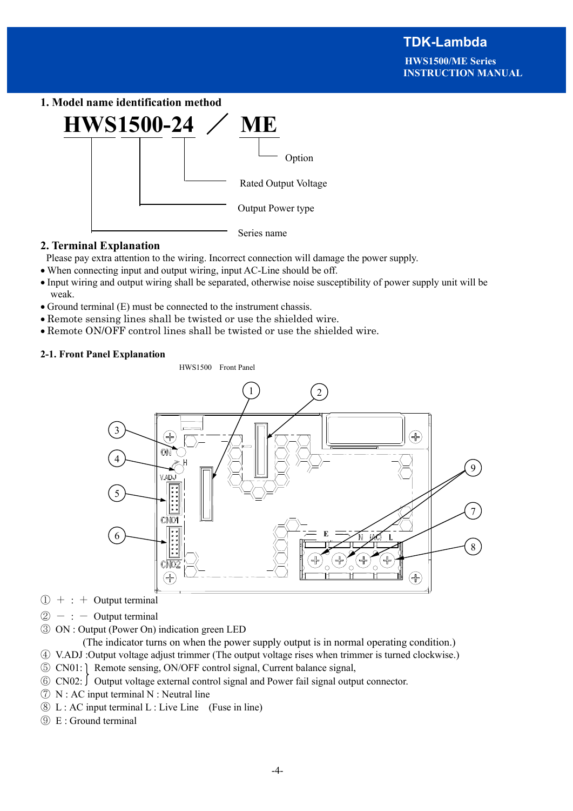**1. Model name identification method**



## **2. Terminal Explanation**

Please pay extra attention to the wiring. Incorrect connection will damage the power supply.

- · When connecting input and output wiring, input AC-Line should be off.
- · Input wiring and output wiring shall be separated, otherwise noise susceptibility of power supply unit will be weak.
- · Ground terminal (E) must be connected to the instrument chassis.
- · Remote sensing lines shall be twisted or use the shielded wire.
- · Remote ON/OFF control lines shall be twisted or use the shielded wire.

### **2-1. Front Panel Explanation**

HWS1500 Front Panel



- $\bigoplus$  + : + Output terminal
- $\circled{2}$  : Output terminal
- ③ ON : Output (Power On) indication green LED

(The indicator turns on when the power supply output is in normal operating condition.)

④ V.ADJ :Output voltage adjust trimmer (The output voltage rises when trimmer is turned clockwise.)

- ⑤ CN01: Remote sensing, ON/OFF control signal, Current balance signal,
- $\odot$  CN02:  $\odot$  Output voltage external control signal and Power fail signal output connector.
- $\overline{P}$  N : AC input terminal N : Neutral line
- ⑧ L : AC input terminal L : Live Line (Fuse in line)
- ⑨ E : Ground terminal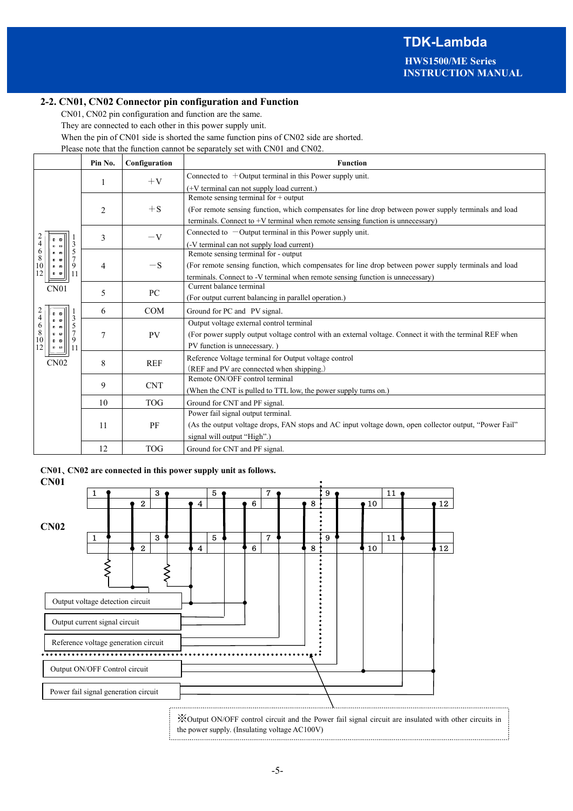#### **2-2. CN01, CN02 Connector pin configuration and Function**

CN01, CN02 pin configuration and function are the same.

They are connected to each other in this power supply unit.

When the pin of CN01 side is shorted the same function pins of CN02 side are shorted.

Please note that the function cannot be separately set with CN01 and CN02.

|                                                                                          | Pin No.                                         | Configuration | <b>Function</b>                                                                                          |                                           |  |  |  |  |
|------------------------------------------------------------------------------------------|-------------------------------------------------|---------------|----------------------------------------------------------------------------------------------------------|-------------------------------------------|--|--|--|--|
|                                                                                          |                                                 | $+V$          | Connected to $+$ Output terminal in this Power supply unit.                                              |                                           |  |  |  |  |
|                                                                                          | 1                                               |               | $(+V$ terminal can not supply load current.)                                                             |                                           |  |  |  |  |
|                                                                                          |                                                 |               | Remote sensing terminal for + output                                                                     |                                           |  |  |  |  |
|                                                                                          | $\overline{2}$                                  | $+S$          | (For remote sensing function, which compensates for line drop between power supply terminals and load    |                                           |  |  |  |  |
|                                                                                          |                                                 |               | terminals. Connect to $+V$ terminal when remote sensing function is unnecessary)                         |                                           |  |  |  |  |
|                                                                                          | 3                                               | $-V$          | Connected to $-$ Output terminal in this Power supply unit.                                              |                                           |  |  |  |  |
| $\frac{2}{4}$<br>3<br>$\alpha$ $\alpha$                                                  |                                                 |               | (-V terminal can not supply load current)                                                                |                                           |  |  |  |  |
| $\begin{array}{c} 6 \\ 8 \\ 10 \end{array}$<br>5<br>$\overline{a}$ $\overline{a}$<br>■ 国 |                                                 |               | Remote sensing terminal for - output                                                                     |                                           |  |  |  |  |
| 9<br>$\mathbf{z}$ $\mathbf{z}$                                                           | 4                                               | $-S$          | (For remote sensing function, which compensates for line drop between power supply terminals and load    |                                           |  |  |  |  |
| 12<br>11<br>$\blacksquare$                                                               |                                                 |               | terminals. Connect to -V terminal when remote sensing function is unnecessary)                           |                                           |  |  |  |  |
| CN <sub>01</sub>                                                                         | 5                                               | PC            | Current balance terminal                                                                                 |                                           |  |  |  |  |
|                                                                                          |                                                 |               | (For output current balancing in parallel operation.)                                                    |                                           |  |  |  |  |
| $\frac{2}{4}$<br>$\mathbf{z}$ $\mathbf{z}$                                               | <b>COM</b><br>6<br>Ground for PC and PV signal. |               |                                                                                                          |                                           |  |  |  |  |
| 3<br>$\mathbf{z}$ $\mathbf{z}$<br>$\frac{6}{8}$<br>5<br>$\mathbf{z}$ $\mathbf{z}$        |                                                 |               | Output voltage external control terminal                                                                 |                                           |  |  |  |  |
| 7<br>$\mathbf{z}$ $\mathbf{z}$<br>10<br>9<br>■ ■                                         | 7                                               | <b>PV</b>     | (For power supply output voltage control with an external voltage. Connect it with the terminal REF when |                                           |  |  |  |  |
| 12<br>11<br>$\alpha$ $\alpha$                                                            |                                                 |               | PV function is unnecessary.                                                                              |                                           |  |  |  |  |
| CN02                                                                                     | 8                                               | <b>REF</b>    | Reference Voltage terminal for Output voltage control                                                    |                                           |  |  |  |  |
|                                                                                          |                                                 |               |                                                                                                          | (REF and PV are connected when shipping.) |  |  |  |  |
|                                                                                          | 9                                               | <b>CNT</b>    | Remote ON/OFF control terminal                                                                           |                                           |  |  |  |  |
|                                                                                          |                                                 |               | (When the CNT is pulled to TTL low, the power supply turns on.)                                          |                                           |  |  |  |  |
|                                                                                          | 10                                              | <b>TOG</b>    | Ground for CNT and PF signal.                                                                            |                                           |  |  |  |  |
|                                                                                          |                                                 |               | Power fail signal output terminal.                                                                       |                                           |  |  |  |  |
|                                                                                          | 11                                              | PF            | (As the output voltage drops, FAN stops and AC input voltage down, open collector output, "Power Fail"   |                                           |  |  |  |  |
|                                                                                          |                                                 |               | signal will output "High".)                                                                              |                                           |  |  |  |  |
|                                                                                          | 12                                              | <b>TOG</b>    | Ground for CNT and PF signal.                                                                            |                                           |  |  |  |  |

**CN01**、**CN02 are connected in this power supply unit as follows.** 

| <b>CN01</b>                          |   |                                                                          |   |                         |   |   |                |   |   |              |            |                  |
|--------------------------------------|---|--------------------------------------------------------------------------|---|-------------------------|---|---|----------------|---|---|--------------|------------|------------------|
|                                      | ı |                                                                          | 3 |                         | 5 |   | $\overline{7}$ |   | 9 |              | 11         |                  |
|                                      |   | $\boldsymbol{2}$                                                         |   | $\overline{\mathbf{4}}$ |   | 6 |                | 8 |   | $\bullet$ 10 |            | 12 <sub>12</sub> |
| CN02                                 |   |                                                                          |   |                         |   |   |                |   |   |              |            |                  |
|                                      | 1 |                                                                          | 3 |                         | 5 |   | $\mathbf{7}$   |   | 9 |              | ${\bf 11}$ |                  |
|                                      |   | $\mathbf{2}$                                                             |   | $\overline{\mathbf{4}}$ |   | 6 |                | 8 |   | 10           |            | 12               |
| Output current signal circuit        |   | Output voltage detection circuit<br>Reference voltage generation circuit |   |                         |   |   |                |   |   |              |            |                  |
| Output ON/OFF Control circuit        |   |                                                                          |   |                         |   |   |                |   |   |              |            |                  |
| Power fail signal generation circuit |   |                                                                          |   |                         |   |   |                |   |   |              |            |                  |

※Output ON/OFF control circuit and the Power fail signal circuit are insulated with other circuits in the power supply. (Insulating voltage AC100V)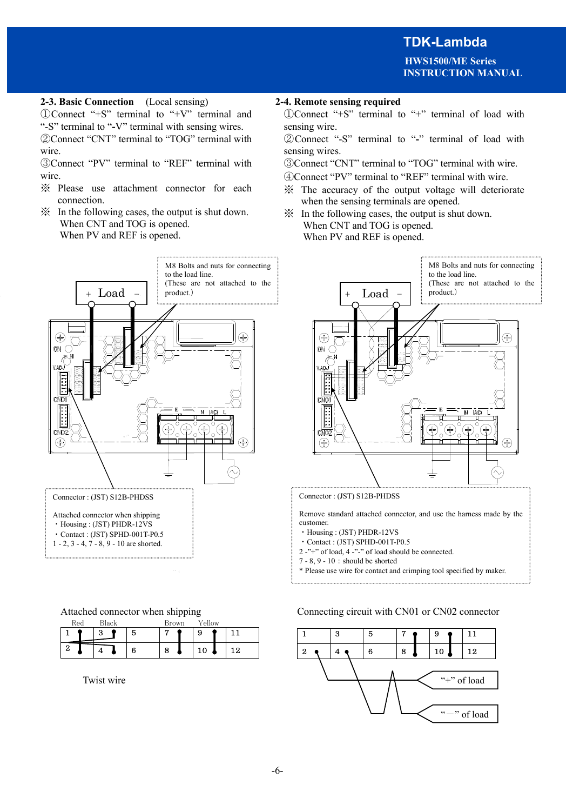**HWS1500/ME Series INSTRUCTION MANUAL**

## **2-3. Basic Connection** (Local sensing) **2-4. Remote sensing required**

①Connect "+S" terminal to "+V" terminal and "-S" terminal to "**-**V" terminal with sensing wires. ②Connect "CNT" terminal to "TOG" terminal with wire.

③Connect "PV" terminal to "REF" terminal with wire.

- ※ Please use attachment connector for each connection.
- ※ In the following cases, the output is shut down. When CNT and TOG is opened. When PV and REF is opened.



1 - 2, 3 - 4,  $7 - 8$ , 9 - 10 are shorted.

| Attached connector when shipping |  |
|----------------------------------|--|
|                                  |  |

| Red | Black |   | <b>Brown</b> | Yellow |    |  |
|-----|-------|---|--------------|--------|----|--|
|     | פ     | 5 |              | 9      |    |  |
| £.  |       | 6 | 8            | 10     | 19 |  |

 $\sim 10$ 

Twist wire

①Connect "+S" terminal to "+" terminal of load with sensing wire.

②Connect "-S" terminal to "**-**" terminal of load with sensing wires.

③Connect "CNT" terminal to "TOG" terminal with wire.

④Connect "PV" terminal to "REF" terminal with wire.

- ※ The accuracy of the output voltage will deteriorate when the sensing terminals are opened.
- ※ In the following cases, the output is shut down. When CNT and TOG is opened. When PV and REF is opened.



Connector : (JST) S12B-PHDSS

Remove standard attached connector, and use the harness made by the customer.

- ・Housing : (JST) PHDR-12VS
- ・Contact : (JST) SPHD-001T-P0.5
- 2 -"+" of load, 4 -"-" of load should be connected.
- $7 8$ ,  $9 10$ : should be shorted

\* Please use wire for contact and crimping tool specified by maker.

#### Connecting circuit with CN01 or CN02 connector

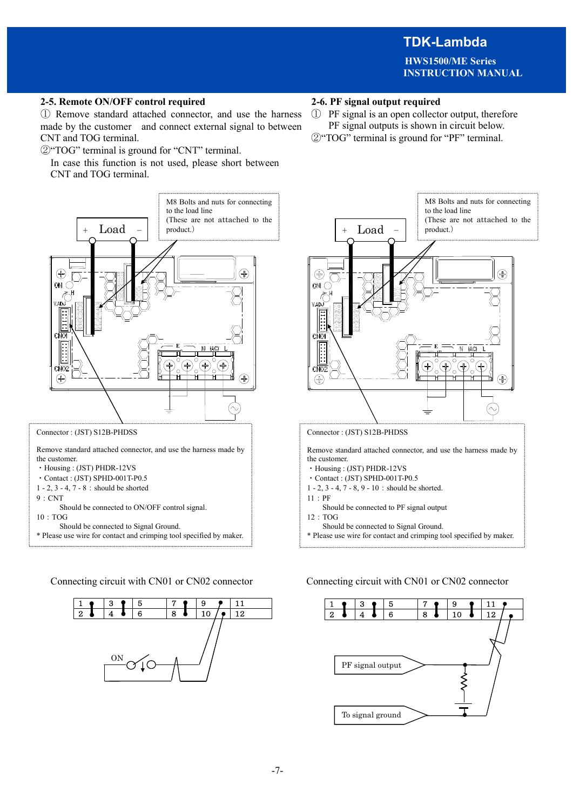**HWS1500/ME Series INSTRUCTION MANUAL**

## **2-5. Remote ON/OFF control required 2-6. PF signal output required**

① Remove standard attached connector, and use the harness made by the customer and connect external signal to between CNT and TOG terminal.

②"TOG" terminal is ground for "CNT" terminal.

In case this function is not used, please short between CNT and TOG terminal.



Should be connected to ON/OFF control signal.  $10:TOG$ 

- Should be connected to Signal Ground.
- \* Please use wire for contact and crimping tool specified by maker.

Connecting circuit with CN01 or CN02 connector Connecting circuit with CN01 or CN02 connector



- ① PF signal is an open collector output, therefore PF signal outputs is shown in circuit below.
- ②"TOG" terminal is ground for "PF" terminal.



Remove standard attached connector, and use the harness made by the customer.

- ・Housing : (JST) PHDR-12VS
- ・Contact : (JST) SPHD-001T-P0.5
- 1 2, 3 4, 7 8, 9 10 : should be shorted.
- 11:PF
- Should be connected to PF signal output
- $12 \cdot TOG$

 Should be connected to Signal Ground. \* Please use wire for contact and crimping tool specified by maker.

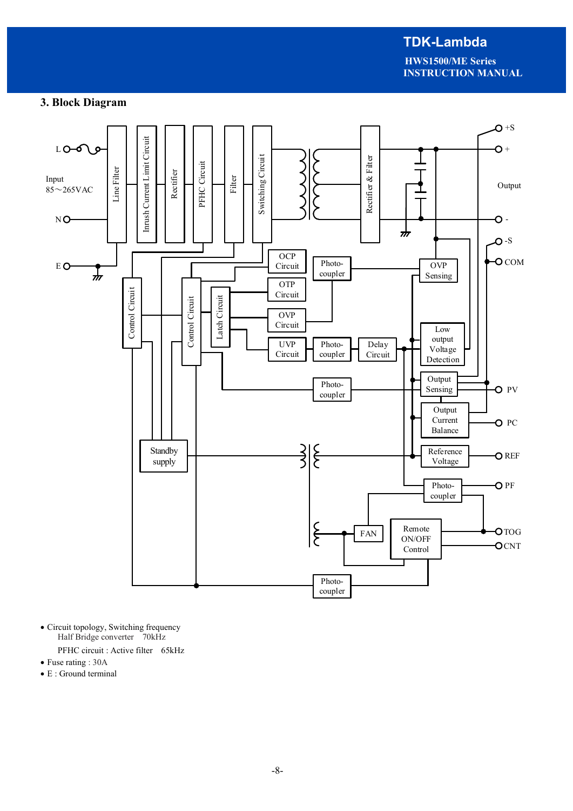**HWS1500/ME Series INSTRUCTION MANUAL**

## **3. Block Diagram**



- · Circuit topology, Switching frequency Half Bridge converter 70kHz
	- PFHC circuit : Active filter 65kHz
- Fuse rating : 30A
- · E : Ground terminal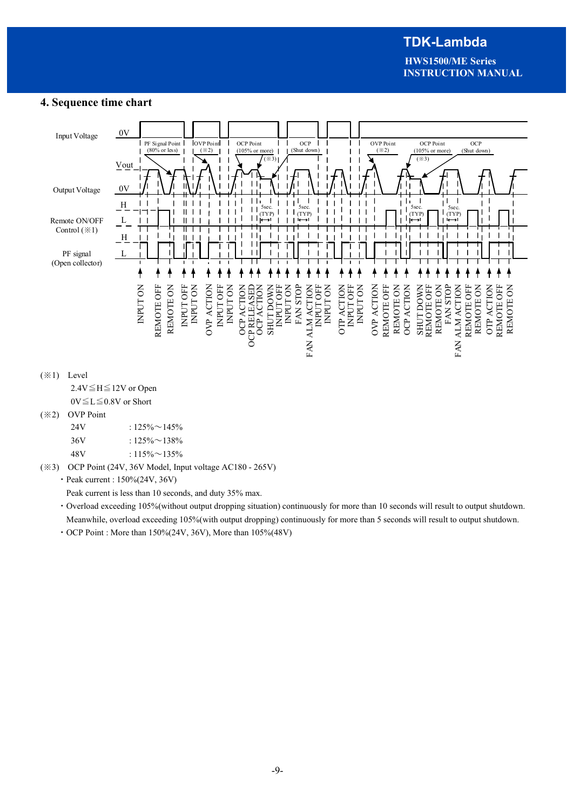**HWS1500/ME Series INSTRUCTION MANUAL**

## **4. Sequence time chart**



 $0V \le L \le 0.8V$  or Short

### (※2) OVP Point

| 24V | : $125\% \sim 145\%$ |
|-----|----------------------|
| 36V | : $125\% \sim 138\%$ |
| 48V | $: 115\% \sim 135\%$ |

(※3) OCP Point (24V, 36V Model, Input voltage AC180 - 265V)

・Peak current : 150%(24V, 36V)

Peak current is less than 10 seconds, and duty 35% max.

- ・Overload exceeding 105%(without output dropping situation) continuously for more than 10 seconds will result to output shutdown. Meanwhile, overload exceeding 105%(with output dropping) continuously for more than 5 seconds will result to output shutdown.
- ・OCP Point : More than 150%(24V, 36V), More than 105%(48V)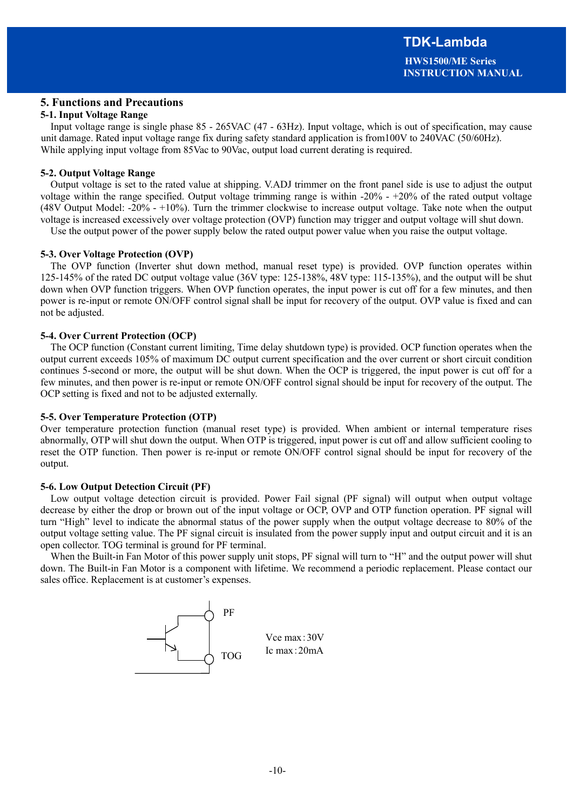## **5. Functions and Precautions**

#### **5-1. Input Voltage Range**

Input voltage range is single phase 85 - 265VAC (47 - 63Hz). Input voltage, which is out of specification, may cause unit damage. Rated input voltage range fix during safety standard application is from100V to 240VAC (50/60Hz). While applying input voltage from 85Vac to 90Vac, output load current derating is required.

#### **5-2. Output Voltage Range**

Output voltage is set to the rated value at shipping. V.ADJ trimmer on the front panel side is use to adjust the output voltage within the range specified. Output voltage trimming range is within -20% - +20% of the rated output voltage (48V Output Model: -20% - +10%). Turn the trimmer clockwise to increase output voltage. Take note when the output voltage is increased excessively over voltage protection (OVP) function may trigger and output voltage will shut down.

Use the output power of the power supply below the rated output power value when you raise the output voltage.

#### **5-3. Over Voltage Protection (OVP)**

The OVP function (Inverter shut down method, manual reset type) is provided. OVP function operates within 125-145% of the rated DC output voltage value (36V type: 125-138%, 48V type: 115-135%), and the output will be shut down when OVP function triggers. When OVP function operates, the input power is cut off for a few minutes, and then power is re-input or remote ON/OFF control signal shall be input for recovery of the output. OVP value is fixed and can not be adjusted.

#### **5-4. Over Current Protection (OCP)**

The OCP function (Constant current limiting, Time delay shutdown type) is provided. OCP function operates when the output current exceeds 105% of maximum DC output current specification and the over current or short circuit condition continues 5-second or more, the output will be shut down. When the OCP is triggered, the input power is cut off for a few minutes, and then power is re-input or remote ON/OFF control signal should be input for recovery of the output. The OCP setting is fixed and not to be adjusted externally.

#### **5-5. Over Temperature Protection (OTP)**

Over temperature protection function (manual reset type) is provided. When ambient or internal temperature rises abnormally, OTP will shut down the output. When OTP is triggered, input power is cut off and allow sufficient cooling to reset the OTP function. Then power is re-input or remote ON/OFF control signal should be input for recovery of the output.

#### **5-6. Low Output Detection Circuit (PF)**

Low output voltage detection circuit is provided. Power Fail signal (PF signal) will output when output voltage decrease by either the drop or brown out of the input voltage or OCP, OVP and OTP function operation. PF signal will turn "High" level to indicate the abnormal status of the power supply when the output voltage decrease to 80% of the output voltage setting value. The PF signal circuit is insulated from the power supply input and output circuit and it is an open collector. TOG terminal is ground for PF terminal.

When the Built-in Fan Motor of this power supply unit stops, PF signal will turn to "H" and the output power will shut down. The Built-in Fan Motor is a component with lifetime. We recommend a periodic replacement. Please contact our sales office. Replacement is at customer's expenses.

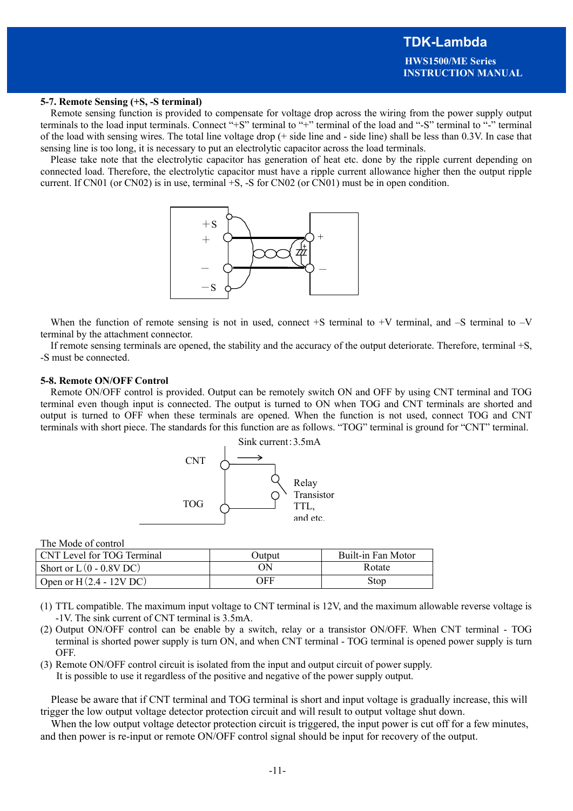#### **5-7. Remote Sensing (+S, -S terminal)**

Remote sensing function is provided to compensate for voltage drop across the wiring from the power supply output terminals to the load input terminals. Connect "+S" terminal to "+" terminal of the load and "-S" terminal to "-" terminal of the load with sensing wires. The total line voltage drop (+ side line and - side line) shall be less than 0.3V. In case that sensing line is too long, it is necessary to put an electrolytic capacitor across the load terminals.

Please take note that the electrolytic capacitor has generation of heat etc. done by the ripple current depending on connected load. Therefore, the electrolytic capacitor must have a ripple current allowance higher then the output ripple current. If CN01 (or CN02) is in use, terminal +S, -S for CN02 (or CN01) must be in open condition.



When the function of remote sensing is not in used, connect  $+S$  terminal to  $+V$  terminal, and  $-S$  terminal to  $-V$ terminal by the attachment connector.

If remote sensing terminals are opened, the stability and the accuracy of the output deteriorate. Therefore, terminal +S, -S must be connected.

#### **5-8. Remote ON/OFF Control**

Remote ON/OFF control is provided. Output can be remotely switch ON and OFF by using CNT terminal and TOG terminal even though input is connected. The output is turned to ON when TOG and CNT terminals are shorted and output is turned to OFF when these terminals are opened. When the function is not used, connect TOG and CNT terminals with short piece. The standards for this function are as follows. "TOG" terminal is ground for "CNT" terminal.



The Mode of control

| CNT Level for TOG Terminal | Output | Built-in Fan Motor |
|----------------------------|--------|--------------------|
| Short or $L(0 - 0.8V)$ DC  | ON     | Rotate             |
| Open or $H(2.4 - 12V)$ DC  | OFF    | Stop               |

- (1) TTL compatible. The maximum input voltage to CNT terminal is 12V, and the maximum allowable reverse voltage is -1V. The sink current of CNT terminal is 3.5mA.
- (2) Output ON/OFF control can be enable by a switch, relay or a transistor ON/OFF. When CNT terminal TOG terminal is shorted power supply is turn ON, and when CNT terminal - TOG terminal is opened power supply is turn OFF.
- (3) Remote ON/OFF control circuit is isolated from the input and output circuit of power supply. It is possible to use it regardless of the positive and negative of the power supply output.

Please be aware that if CNT terminal and TOG terminal is short and input voltage is gradually increase, this will trigger the low output voltage detector protection circuit and will result to output voltage shut down.

When the low output voltage detector protection circuit is triggered, the input power is cut off for a few minutes, and then power is re-input or remote ON/OFF control signal should be input for recovery of the output.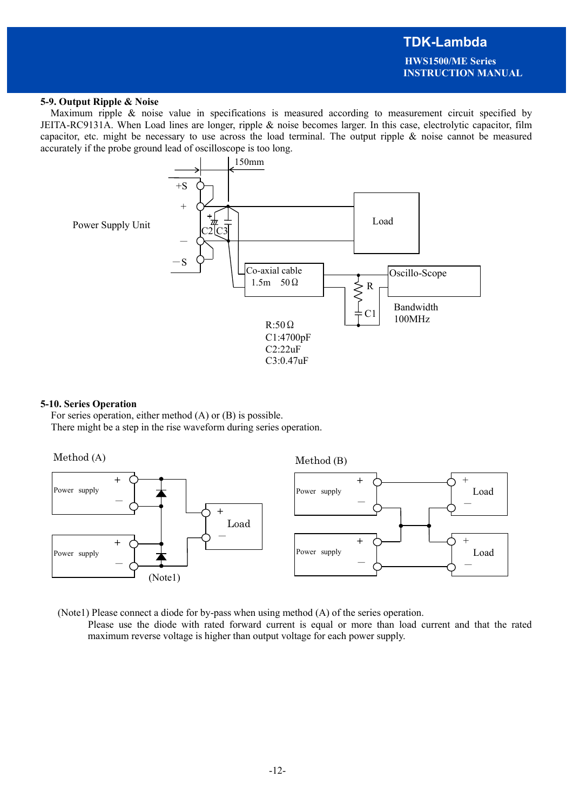**HWS1500/ME Series INSTRUCTION MANUAL**

#### **5-9. Output Ripple & Noise**

Maximum ripple & noise value in specifications is measured according to measurement circuit specified by JEITA-RC9131A. When Load lines are longer, ripple & noise becomes larger. In this case, electrolytic capacitor, film capacitor, etc. might be necessary to use across the load terminal. The output ripple & noise cannot be measured accurately if the probe ground lead of oscilloscope is too long.



#### **5-10. Series Operation**

For series operation, either method (A) or (B) is possible. There might be a step in the rise waveform during series operation.



(Note1) Please connect a diode for by-pass when using method (A) of the series operation.

 Please use the diode with rated forward current is equal or more than load current and that the rated maximum reverse voltage is higher than output voltage for each power supply.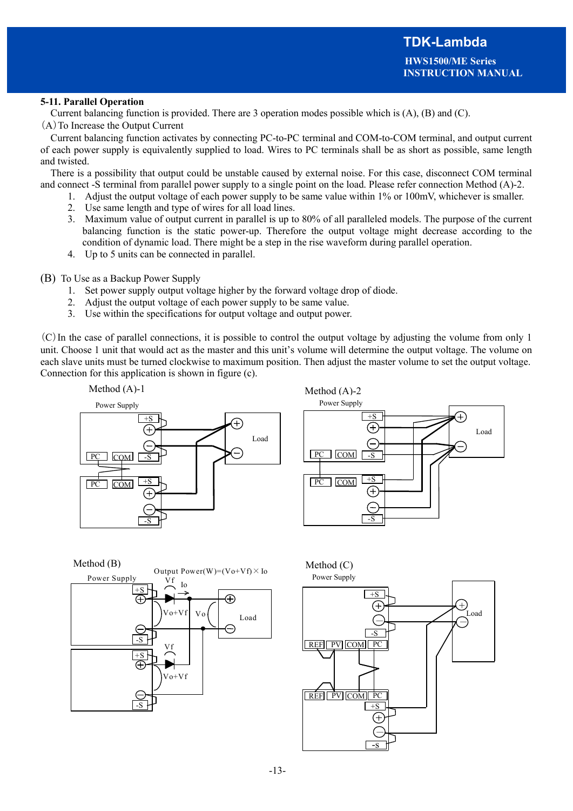## **5-11. Parallel Operation**

Current balancing function is provided. There are 3 operation modes possible which is (A), (B) and (C). (A)To Increase the Output Current

Current balancing function activates by connecting PC-to-PC terminal and COM-to-COM terminal, and output current of each power supply is equivalently supplied to load. Wires to PC terminals shall be as short as possible, same length and twisted.

There is a possibility that output could be unstable caused by external noise. For this case, disconnect COM terminal and connect -S terminal from parallel power supply to a single point on the load. Please refer connection Method (A)-2.

- 1. Adjust the output voltage of each power supply to be same value within 1% or 100mV, whichever is smaller.
	- 2. Use same length and type of wires for all load lines.
	- 3. Maximum value of output current in parallel is up to 80% of all paralleled models. The purpose of the current balancing function is the static power-up. Therefore the output voltage might decrease according to the condition of dynamic load. There might be a step in the rise waveform during parallel operation.
	- 4. Up to 5 units can be connected in parallel.

(B) To Use as a Backup Power Supply

- 1. Set power supply output voltage higher by the forward voltage drop of diode.
- 2. Adjust the output voltage of each power supply to be same value.
- 3. Use within the specifications for output voltage and output power.

(C)In the case of parallel connections, it is possible to control the output voltage by adjusting the volume from only 1 unit. Choose 1 unit that would act as the master and this unit's volume will determine the output voltage. The volume on each slave units must be turned clockwise to maximum position. Then adjust the master volume to set the output voltage. Connection for this application is shown in figure (c).





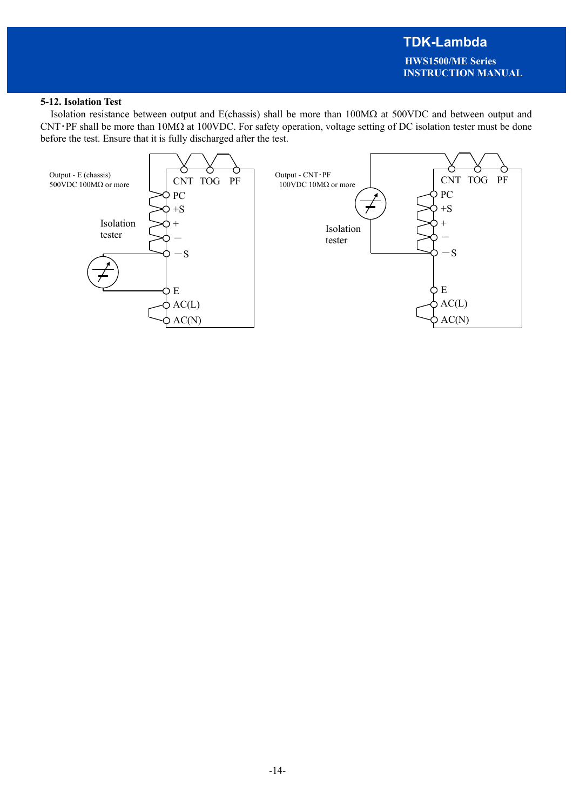## **5-12. Isolation Test**

Isolation resistance between output and E(chassis) shall be more than  $100\text{M}\Omega$  at  $500\text{V}\text{DC}$  and between output and  $CNT·PF$  shall be more than  $10M\Omega$  at  $100VDC$ . For safety operation, voltage setting of DC isolation tester must be done before the test. Ensure that it is fully discharged after the test.

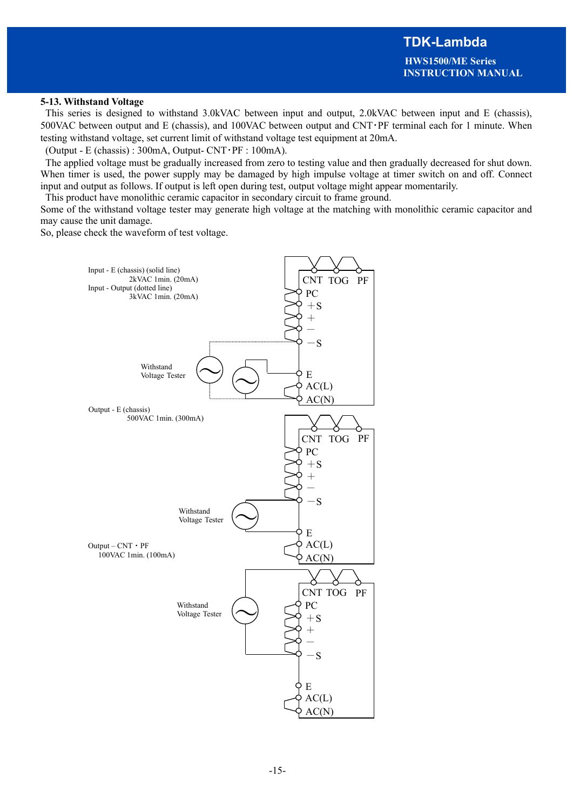## **5-13. Withstand Voltage**

 This series is designed to withstand 3.0kVAC between input and output, 2.0kVAC between input and E (chassis), 500VAC between output and E (chassis), and 100VAC between output and CNT・PF terminal each for 1 minute. When testing withstand voltage, set current limit of withstand voltage test equipment at 20mA.

(Output - E (chassis):  $300mA$ , Output- CNT · PF :  $100mA$ ).

 The applied voltage must be gradually increased from zero to testing value and then gradually decreased for shut down. When timer is used, the power supply may be damaged by high impulse voltage at timer switch on and off. Connect input and output as follows. If output is left open during test, output voltage might appear momentarily.

This product have monolithic ceramic capacitor in secondary circuit to frame ground.

Some of the withstand voltage tester may generate high voltage at the matching with monolithic ceramic capacitor and may cause the unit damage.

So, please check the waveform of test voltage.

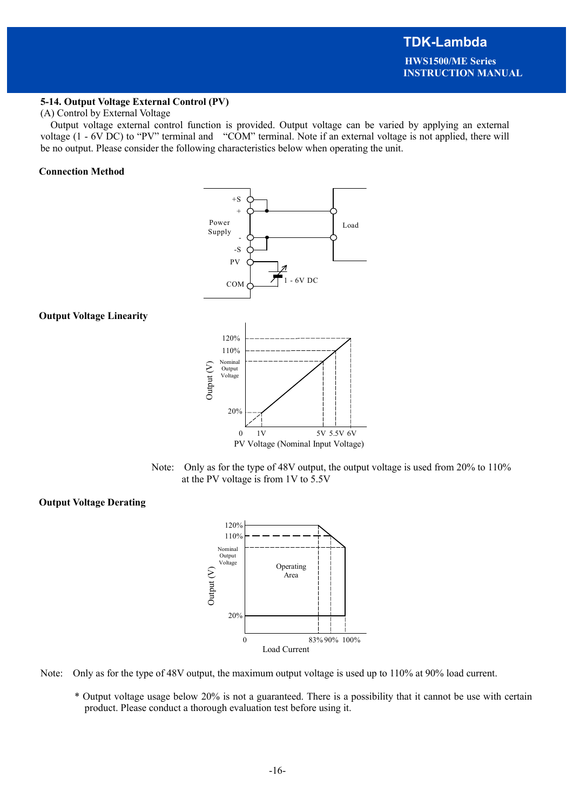## **5-14. Output Voltage External Control (PV)**

#### (A) Control by External Voltage

Output voltage external control function is provided. Output voltage can be varied by applying an external voltage (1 - 6V DC) to "PV" terminal and "COM" terminal. Note if an external voltage is not applied, there will be no output. Please consider the following characteristics below when operating the unit.

#### **Connection Method**

![](_page_15_Figure_6.jpeg)

![](_page_15_Figure_7.jpeg)

![](_page_15_Figure_8.jpeg)

## **Output Voltage Derating**

![](_page_15_Figure_10.jpeg)

Note: Only as for the type of 48V output, the maximum output voltage is used up to 110% at 90% load current.

\* Output voltage usage below 20% is not a guaranteed. There is a possibility that it cannot be use with certain product. Please conduct a thorough evaluation test before using it.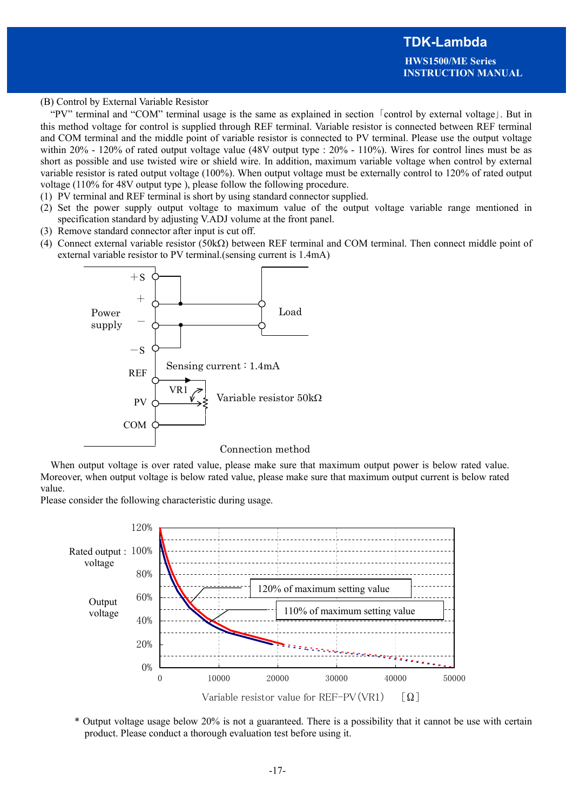### (B) Control by External Variable Resistor

"PV" terminal and "COM" terminal usage is the same as explained in section 「control by external voltage」. But in this method voltage for control is supplied through REF terminal. Variable resistor is connected between REF terminal and COM terminal and the middle point of variable resistor is connected to PV terminal. Please use the output voltage within 20% - 120% of rated output voltage value (48V output type : 20% - 110%). Wires for control lines must be as short as possible and use twisted wire or shield wire. In addition, maximum variable voltage when control by external variable resistor is rated output voltage (100%). When output voltage must be externally control to 120% of rated output voltage (110% for 48V output type ), please follow the following procedure.

- (1) PV terminal and REF terminal is short by using standard connector supplied.
- (2) Set the power supply output voltage to maximum value of the output voltage variable range mentioned in specification standard by adjusting V.ADJ volume at the front panel.
- (3) Remove standard connector after input is cut off.
- (4) Connect external variable resistor (50k $\Omega$ ) between REF terminal and COM terminal. Then connect middle point of external variable resistor to PV terminal.(sensing current is 1.4mA)

![](_page_16_Figure_8.jpeg)

When output voltage is over rated value, please make sure that maximum output power is below rated value. Moreover, when output voltage is below rated value, please make sure that maximum output current is below rated value.

Please consider the following characteristic during usage.

![](_page_16_Figure_11.jpeg)

\* Output voltage usage below 20% is not a guaranteed. There is a possibility that it cannot be use with certain product. Please conduct a thorough evaluation test before using it.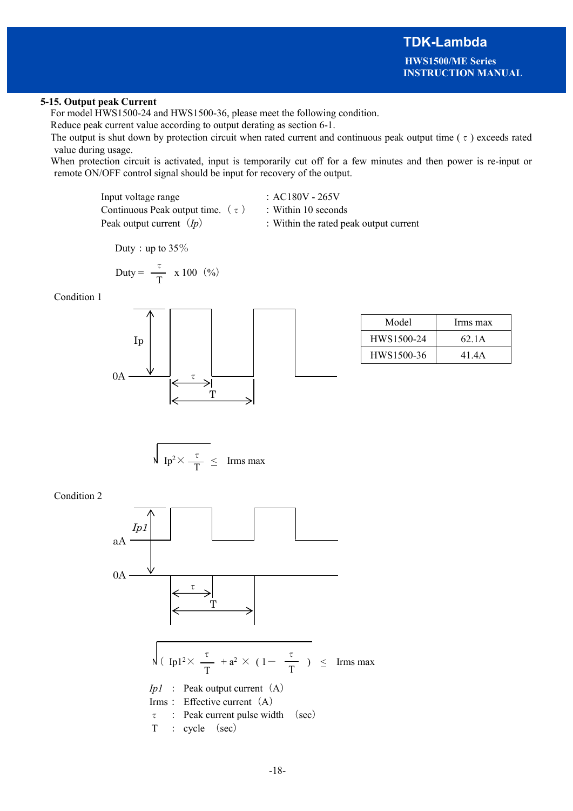## **5-15. Output peak Current**

For model HWS1500-24 and HWS1500-36, please meet the following condition.

Reduce peak current value according to output derating as section 6-1.

The output is shut down by protection circuit when rated current and continuous peak output time ( $\tau$ ) exceeds rated value during usage.

When protection circuit is activated, input is temporarily cut off for a few minutes and then power is re-input or remote ON/OFF control signal should be input for recovery of the output.

> Input voltage range : AC180V - 265V Continuous Peak output time.  $(\tau)$  : Within 10 seconds Peak output current (*Ip*) : Within the rated peak output current

Duty: up to  $35\%$ 

$$
Duty = \frac{\tau}{T} \times 100 \quad (\%)
$$

Condition 1

![](_page_17_Figure_12.jpeg)

| Model      | Irms max |
|------------|----------|
| HWS1500-24 | 62.1A    |
| HWS1500-36 | 41.4A    |

$$
\bigvee \ \ \text{Ip}^2 \times \frac{\tau}{T} \ \leq \ \ \text{Irms max}
$$

Condition 2

![](_page_17_Figure_16.jpeg)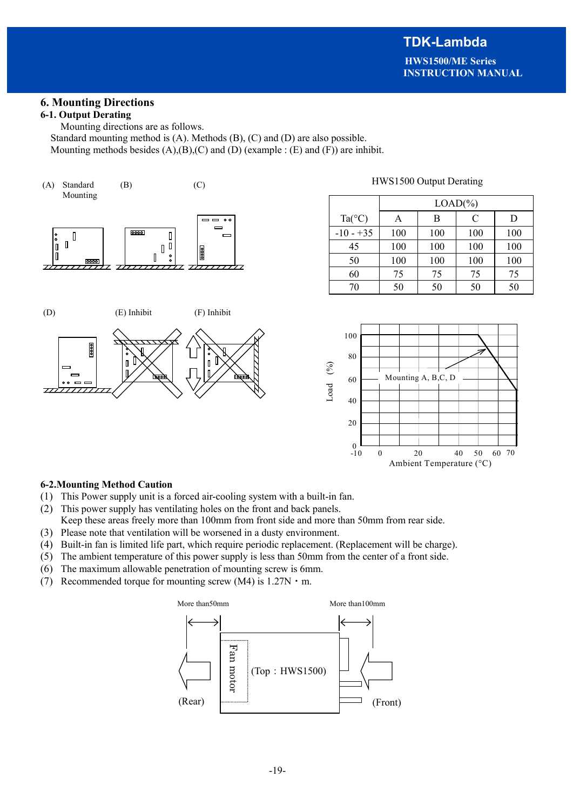## **6. Mounting Directions**

## **6-1. Output Derating**

Mounting directions are as follows. Standard mounting method is (A). Methods (B), (C) and (D) are also possible. Mounting methods besides  $(A),(B),(C)$  and  $(D)$  (example :  $(E)$  and  $(F)$ ) are inhibit.

![](_page_18_Figure_5.jpeg)

![](_page_18_Figure_6.jpeg)

## HWS1500 Output Derating

|                 | $LOAD(\% )$ |     |     |     |  |  |  |  |
|-----------------|-------------|-----|-----|-----|--|--|--|--|
| $Ta(^{\circ}C)$ | А           | B   | C   | D   |  |  |  |  |
| $-10 - +35$     | 100         | 100 | 100 | 100 |  |  |  |  |
| 45              | 100         | 100 | 100 | 100 |  |  |  |  |
| 50              | 100         | 100 | 100 | 100 |  |  |  |  |
| 60              | 75          | 75  | 75  | 75  |  |  |  |  |
| 70              | 50          | 50  | 50  | 50  |  |  |  |  |

![](_page_18_Figure_9.jpeg)

## **6-2.Mounting Method Caution**

- (1) This Power supply unit is a forced air-cooling system with a built-in fan.
- (2) This power supply has ventilating holes on the front and back panels. Keep these areas freely more than 100mm from front side and more than 50mm from rear side.
- (3) Please note that ventilation will be worsened in a dusty environment.
- (4) Built-in fan is limited life part, which require periodic replacement. (Replacement will be charge).
- (5) The ambient temperature of this power supply is less than 50mm from the center of a front side.
- (6) The maximum allowable penetration of mounting screw is 6mm.
- (7) Recommended torque for mounting screw (M4) is  $1.27N \cdot m$ .

![](_page_18_Figure_18.jpeg)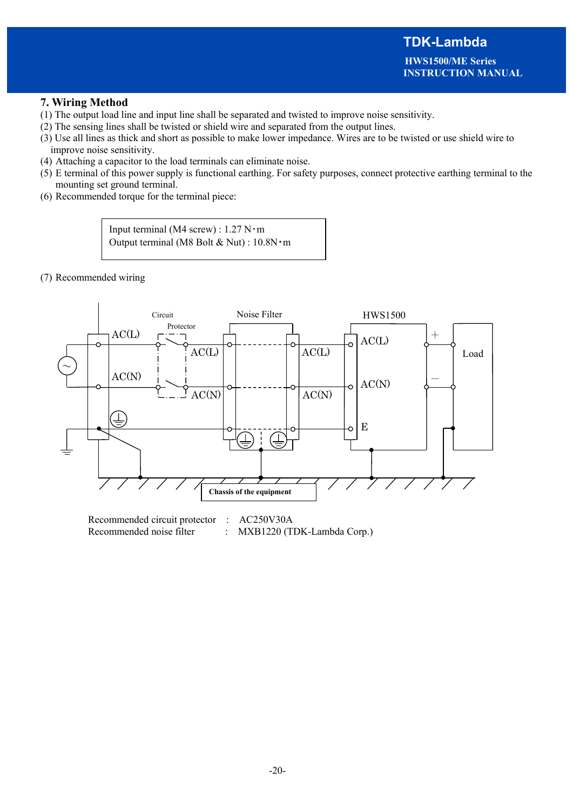**HWS1500/ME Series INSTRUCTION MANUAL**

## **7. Wiring Method**

- (1) The output load line and input line shall be separated and twisted to improve noise sensitivity.
- (2) The sensing lines shall be twisted or shield wire and separated from the output lines.
- (3) Use all lines as thick and short as possible to make lower impedance. Wires are to be twisted or use shield wire to improve noise sensitivity.
- (4) Attaching a capacitor to the load terminals can eliminate noise.
- (5) E terminal of this power supply is functional earthing. For safety purposes, connect protective earthing terminal to the mounting set ground terminal.
- (6) Recommended torque for the terminal piece:

Input terminal (M4 screw) :  $1.27$  N $\cdot$ m Output terminal (M8 Bolt & Nut) : 10.8N・m

(7) Recommended wiring

![](_page_19_Figure_11.jpeg)

Recommended circuit protector : AC250V30A Recommended noise filter : MXB1220 (TDK-Lambda Corp.)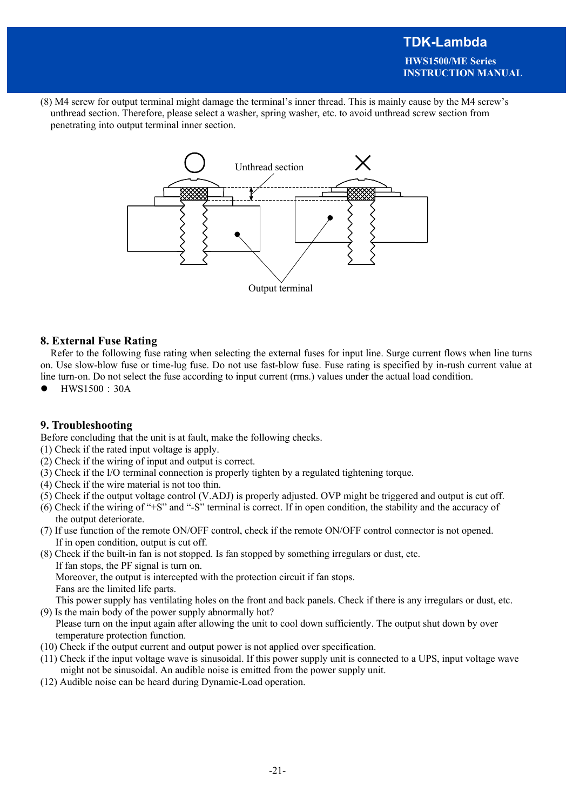**INSTRUCTION MANUAL**

(8) M4 screw for output terminal might damage the terminal's inner thread. This is mainly cause by the M4 screw's unthread section. Therefore, please select a washer, spring washer, etc. to avoid unthread screw section from penetrating into output terminal inner section.

![](_page_20_Figure_3.jpeg)

## **8. External Fuse Rating**

Refer to the following fuse rating when selecting the external fuses for input line. Surge current flows when line turns on. Use slow-blow fuse or time-lug fuse. Do not use fast-blow fuse. Fuse rating is specified by in-rush current value at line turn-on. Do not select the fuse according to input current (rms.) values under the actual load condition.

HWS1500:30A

## **9. Troubleshooting**

Before concluding that the unit is at fault, make the following checks.

- (1) Check if the rated input voltage is apply.
- (2) Check if the wiring of input and output is correct.
- (3) Check if the I/O terminal connection is properly tighten by a regulated tightening torque.
- (4) Check if the wire material is not too thin.
- (5) Check if the output voltage control (V.ADJ) is properly adjusted. OVP might be triggered and output is cut off.
- (6) Check if the wiring of "+S" and "-S" terminal is correct. If in open condition, the stability and the accuracy of the output deteriorate.
- (7) If use function of the remote ON/OFF control, check if the remote ON/OFF control connector is not opened. If in open condition, output is cut off.
- (8) Check if the built-in fan is not stopped. Is fan stopped by something irregulars or dust, etc. If fan stops, the PF signal is turn on. Moreover, the output is intercepted with the protection circuit if fan stops. Fans are the limited life parts.

This power supply has ventilating holes on the front and back panels. Check if there is any irregulars or dust, etc. (9) Is the main body of the power supply abnormally hot?

Please turn on the input again after allowing the unit to cool down sufficiently. The output shut down by over temperature protection function.

- (10) Check if the output current and output power is not applied over specification.
- (11) Check if the input voltage wave is sinusoidal. If this power supply unit is connected to a UPS, input voltage wave might not be sinusoidal. An audible noise is emitted from the power supply unit.
- (12) Audible noise can be heard during Dynamic-Load operation.